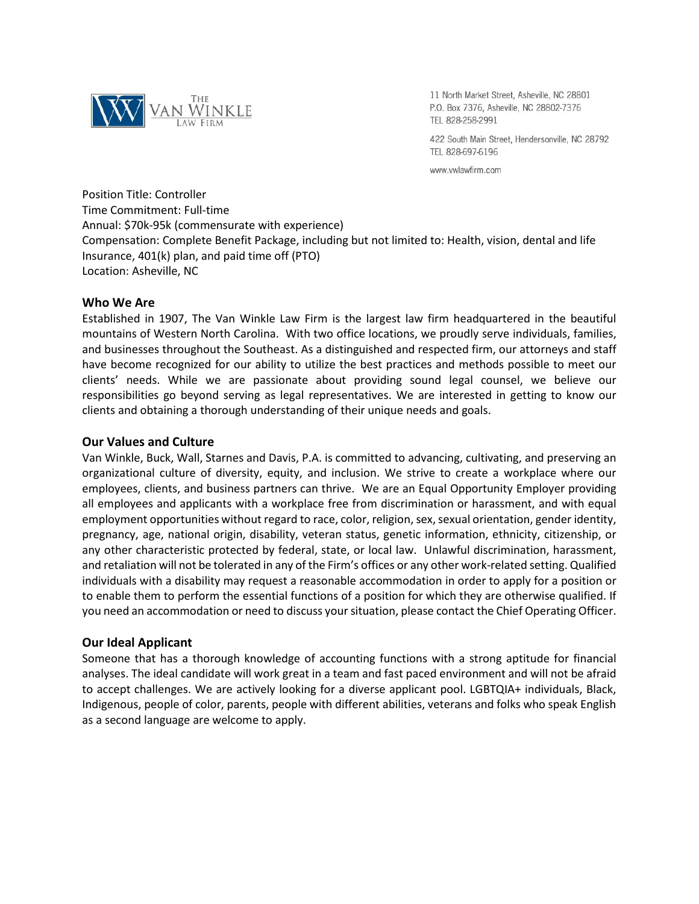

11 North Market Street, Asheville, NC 28801 P.O. Box 7376, Asheville, NC 28802-7376 TEL 828-258-2991

422 South Main Street, Hendersonville, NC 28792 TEL 828-697-6196

www.vwlawfirm.com

Position Title: Controller Time Commitment: Full-time Annual: \$70k-95k (commensurate with experience) Compensation: Complete Benefit Package, including but not limited to: Health, vision, dental and life Insurance, 401(k) plan, and paid time off (PTO) Location: Asheville, NC

# **Who We Are**

Established in 1907, The Van Winkle Law Firm is the largest law firm headquartered in the beautiful mountains of Western North Carolina. With two office locations, we proudly serve individuals, families, and businesses throughout the Southeast. As a distinguished and respected firm, our attorneys and staff have become recognized for our ability to utilize the best practices and methods possible to meet our clients' needs. While we are passionate about providing sound legal counsel, we believe our responsibilities go beyond serving as legal representatives. We are interested in getting to know our clients and obtaining a thorough understanding of their unique needs and goals.

# **Our Values and Culture**

Van Winkle, Buck, Wall, Starnes and Davis, P.A. is committed to advancing, cultivating, and preserving an organizational culture of diversity, equity, and inclusion. We strive to create a workplace where our employees, clients, and business partners can thrive. We are an Equal Opportunity Employer providing all employees and applicants with a workplace free from discrimination or harassment, and with equal employment opportunities without regard to race, color, religion, sex, sexual orientation, gender identity, pregnancy, age, national origin, disability, veteran status, genetic information, ethnicity, citizenship, or any other characteristic protected by federal, state, or local law. Unlawful discrimination, harassment, and retaliation will not be tolerated in any of the Firm's offices or any other work-related setting. Qualified individuals with a disability may request a reasonable accommodation in order to apply for a position or to enable them to perform the essential functions of a position for which they are otherwise qualified. If you need an accommodation or need to discuss your situation, please contact the Chief Operating Officer.

# **Our Ideal Applicant**

Someone that has a thorough knowledge of accounting functions with a strong aptitude for financial analyses. The ideal candidate will work great in a team and fast paced environment and will not be afraid to accept challenges. We are actively looking for a diverse applicant pool. LGBTQIA+ individuals, Black, Indigenous, people of color, parents, people with different abilities, veterans and folks who speak English as a second language are welcome to apply.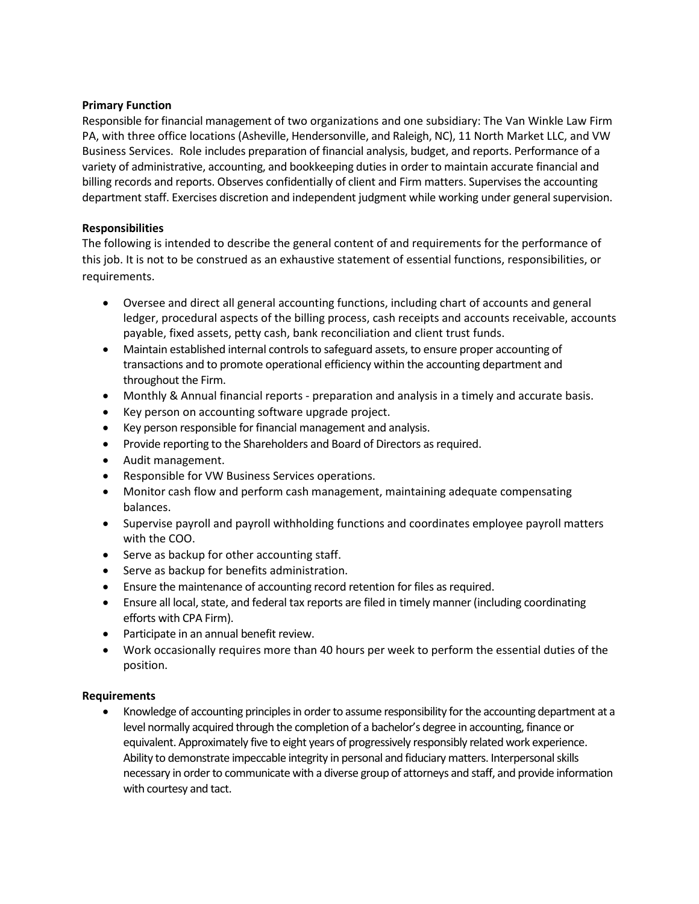# **Primary Function**

Responsible for financial management of two organizations and one subsidiary: The Van Winkle Law Firm PA, with three office locations (Asheville, Hendersonville, and Raleigh, NC), 11 North Market LLC, and VW Business Services. Role includes preparation of financial analysis, budget, and reports. Performance of a variety of administrative, accounting, and bookkeeping duties in order to maintain accurate financial and billing records and reports. Observes confidentially of client and Firm matters. Supervises the accounting department staff. Exercises discretion and independent judgment while working under general supervision.

# **Responsibilities**

The following is intended to describe the general content of and requirements for the performance of this job. It is not to be construed as an exhaustive statement of essential functions, responsibilities, or requirements.

- Oversee and direct all general accounting functions, including chart of accounts and general ledger, procedural aspects of the billing process, cash receipts and accounts receivable, accounts payable, fixed assets, petty cash, bank reconciliation and client trust funds.
- Maintain established internal controls to safeguard assets, to ensure proper accounting of transactions and to promote operational efficiency within the accounting department and throughout the Firm.
- Monthly & Annual financial reports preparation and analysis in a timely and accurate basis.
- Key person on accounting software upgrade project.
- Key person responsible for financial management and analysis.
- Provide reporting to the Shareholders and Board of Directors as required.
- Audit management.
- Responsible for VW Business Services operations.
- Monitor cash flow and perform cash management, maintaining adequate compensating balances.
- Supervise payroll and payroll withholding functions and coordinates employee payroll matters with the COO.
- Serve as backup for other accounting staff.
- Serve as backup for benefits administration.
- Ensure the maintenance of accounting record retention for files as required.
- Ensure all local, state, and federal tax reports are filed in timely manner (including coordinating efforts with CPA Firm).
- Participate in an annual benefit review.
- Work occasionally requires more than 40 hours per week to perform the essential duties of the position.

# **Requirements**

 Knowledge of accounting principles in order to assume responsibility for the accounting department at a level normally acquired through the completion of a bachelor's degree in accounting, finance or equivalent. Approximately five to eight years of progressively responsibly related work experience. Ability to demonstrate impeccable integrity in personal and fiduciary matters. Interpersonal skills necessary in order to communicate with a diverse group of attorneys and staff, and provide information with courtesy and tact.